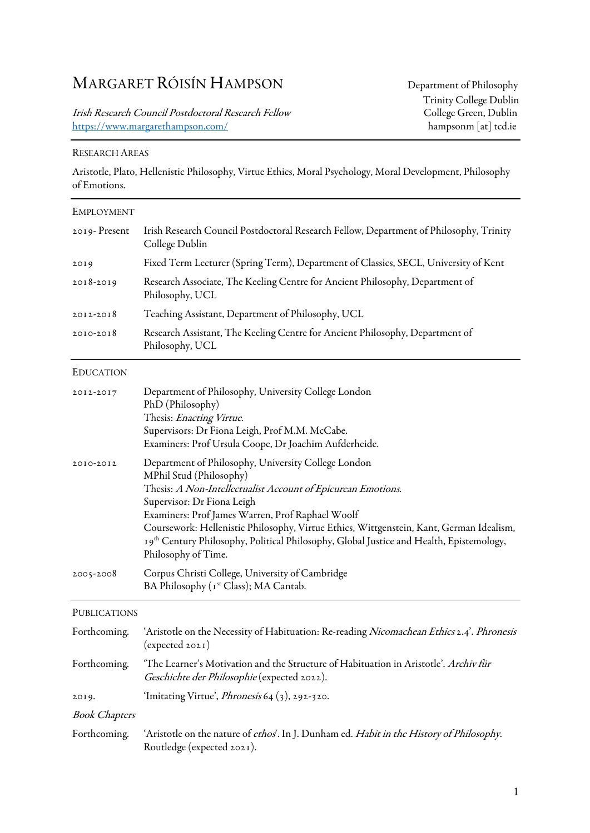# MARGARET RÓISÍN HAMPSON Department of Philosophy

Irish Research Council Postdoctoral Research Fellow College Green, Dublin<br>https://www.margarethampson.com/ hampsonm [at] tcd.ie https://www.margarethampson.com/

### RESEARCH AREAS

Aristotle, Plato, Hellenistic Philosophy, Virtue Ethics, Moral Psychology, Moral Development, Philosophy of Emotions.

| EMPLOYMENT           |                                                                                                                                                                                                                                                                                                                                                                                                                                               |
|----------------------|-----------------------------------------------------------------------------------------------------------------------------------------------------------------------------------------------------------------------------------------------------------------------------------------------------------------------------------------------------------------------------------------------------------------------------------------------|
| 2019-Present         | Irish Research Council Postdoctoral Research Fellow, Department of Philosophy, Trinity<br>College Dublin                                                                                                                                                                                                                                                                                                                                      |
| 2019                 | Fixed Term Lecturer (Spring Term), Department of Classics, SECL, University of Kent                                                                                                                                                                                                                                                                                                                                                           |
| 2018-2019            | Research Associate, The Keeling Centre for Ancient Philosophy, Department of<br>Philosophy, UCL                                                                                                                                                                                                                                                                                                                                               |
| $2012 - 2018$        | Teaching Assistant, Department of Philosophy, UCL                                                                                                                                                                                                                                                                                                                                                                                             |
| 2010-2018            | Research Assistant, The Keeling Centre for Ancient Philosophy, Department of<br>Philosophy, UCL                                                                                                                                                                                                                                                                                                                                               |
| <b>EDUCATION</b>     |                                                                                                                                                                                                                                                                                                                                                                                                                                               |
| 2012-2017            | Department of Philosophy, University College London<br>PhD (Philosophy)<br>Thesis: Enacting Virtue.<br>Supervisors: Dr Fiona Leigh, Prof M.M. McCabe.<br>Examiners: Prof Ursula Coope, Dr Joachim Aufderheide.                                                                                                                                                                                                                                |
| 2010-2012            | Department of Philosophy, University College London<br>MPhil Stud (Philosophy)<br>Thesis: A Non-Intellectualist Account of Epicurean Emotions.<br>Supervisor: Dr Fiona Leigh<br>Examiners: Prof James Warren, Prof Raphael Woolf<br>Coursework: Hellenistic Philosophy, Virtue Ethics, Wittgenstein, Kant, German Idealism,<br>19th Century Philosophy, Political Philosophy, Global Justice and Health, Epistemology,<br>Philosophy of Time. |
| 2005-2008            | Corpus Christi College, University of Cambridge<br>BA Philosophy (1st Class); MA Cantab.                                                                                                                                                                                                                                                                                                                                                      |
| <b>PUBLICATIONS</b>  |                                                                                                                                                                                                                                                                                                                                                                                                                                               |
| Forthcoming.         | 'Aristotle on the Necessity of Habituation: Re-reading Nicomachean Ethics 2.4'. Phronesis<br>(expected 2021)                                                                                                                                                                                                                                                                                                                                  |
| Forthcoming.         | 'The Learner's Motivation and the Structure of Habituation in Aristotle'. Archiv für<br>Geschichte der Philosophie (expected 2022).                                                                                                                                                                                                                                                                                                           |
| 2019.                | 'Imitating Virtue', <i>Phronesis</i> 64 (3), 292-320.                                                                                                                                                                                                                                                                                                                                                                                         |
| <b>Book Chapters</b> |                                                                                                                                                                                                                                                                                                                                                                                                                                               |
| Forthcoming.         | 'Aristotle on the nature of ethos'. In J. Dunham ed. Habit in the History of Philosophy.<br>Routledge (expected 2021).                                                                                                                                                                                                                                                                                                                        |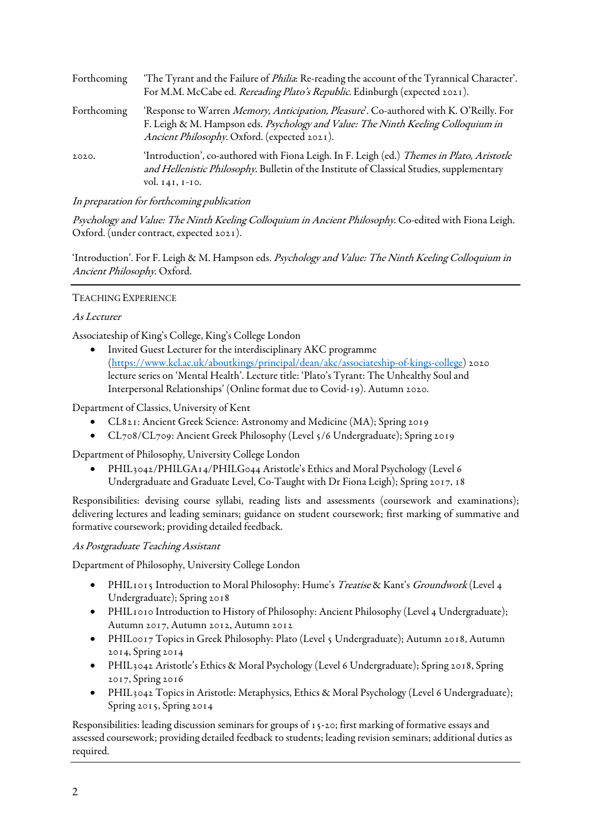| Forthcoming | 'The Tyrant and the Failure of <i>Philia</i> : Re-reading the account of the Tyrannical Character'.<br>For M.M. McCabe ed. Rereading Plato's Republic. Edinburgh (expected 2021).                                          |
|-------------|----------------------------------------------------------------------------------------------------------------------------------------------------------------------------------------------------------------------------|
| Forthcoming | 'Response to Warren Memory, Anticipation, Pleasure'. Co-authored with K. O'Reilly. For<br>F. Leigh & M. Hampson eds. Psychology and Value: The Ninth Keeling Colloquium in<br>Ancient Philosophy. Oxford. (expected 2021). |
| 2020.       | 'Introduction', co-authored with Fiona Leigh. In F. Leigh (ed.) Themes in Plato, Aristotle<br>and Hellenistic Philosophy. Bulletin of the Institute of Classical Studies, supplementary<br>vol. 141, 1-10.                 |

In preparation for forthcoming publication

Psychology and Value: The Ninth Keeling Colloquium in Ancient Philosophy. Co-edited with Fiona Leigh. Oxford. (under contract, expected 2021).

'Introduction'. For F. Leigh & M. Hampson eds. Psychology and Value: The Ninth Keeling Colloquium in Ancient Philosophy. Oxford.

## TEACHING EXPERIENCE

### As Lecturer

Associateship of King's College, King's College London

• Invited Guest Lecturer for the interdisciplinary AKC programme (https://www.kcl.ac.uk/aboutkings/principal/dean/akc/associateship-of-kings-college) 2020 lecture series on 'Mental Health'. Lecture title: 'Plato's Tyrant: The Unhealthy Soul and Interpersonal Relationships' (Online format due to Covid-19). Autumn 2020.

Department of Classics, University of Kent

- CL821: Ancient Greek Science: Astronomy and Medicine (MA); Spring 2019
- CL708/CL709: Ancient Greek Philosophy (Level 5/6 Undergraduate); Spring 2019

Department of Philosophy, University College London

• PHIL3042/PHILGA14/PHILG044 Aristotle's Ethics and Moral Psychology (Level 6 Undergraduate and Graduate Level, Co-Taught with Dr Fiona Leigh); Spring 2017, 18

Responsibilities: devising course syllabi, reading lists and assessments (coursework and examinations); delivering lectures and leading seminars; guidance on student coursework; first marking of summative and formative coursework; providing detailed feedback.

#### As Postgraduate Teaching Assistant

Department of Philosophy, University College London

- PHIL1015 Introduction to Moral Philosophy: Hume's Treatise & Kant's Groundwork (Level 4 Undergraduate); Spring 2018
- PHIL1010 Introduction to History of Philosophy: Ancient Philosophy (Level 4 Undergraduate); Autumn 2017, Autumn 2012, Autumn 2012
- PHIL0017 Topics in Greek Philosophy: Plato (Level 5 Undergraduate); Autumn 2018, Autumn 2014, Spring 2014
- PHIL3042 Aristotle's Ethics & Moral Psychology (Level 6 Undergraduate); Spring 2018, Spring 2017, Spring 2016
- PHIL3042 Topics in Aristotle: Metaphysics, Ethics & Moral Psychology (Level 6 Undergraduate); Spring 2015, Spring 2014

Responsibilities: leading discussion seminars for groups of 15-20; first marking of formative essays and assessed coursework; providing detailed feedback to students; leading revision seminars; additional duties as required.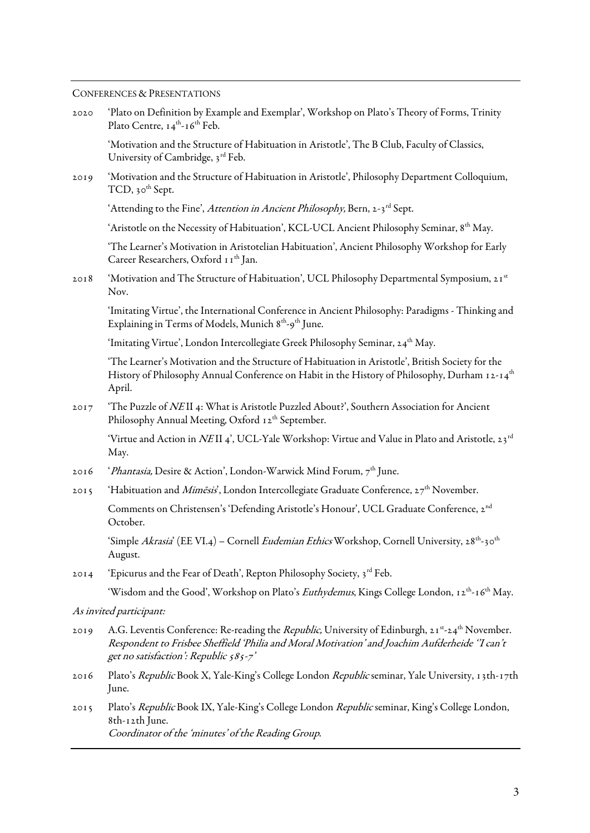## CONFERENCES & PRESENTATIONS

| 2020 | 'Plato on Definition by Example and Exemplar', Workshop on Plato's Theory of Forms, Trinity<br>Plato Centre, 14 <sup>th</sup> -16 <sup>th</sup> Feb.                                                                                                                        |
|------|-----------------------------------------------------------------------------------------------------------------------------------------------------------------------------------------------------------------------------------------------------------------------------|
|      | 'Motivation and the Structure of Habituation in Aristotle', The B Club, Faculty of Classics,<br>University of Cambridge, 3rd Feb.                                                                                                                                           |
| 2019 | 'Motivation and the Structure of Habituation in Aristotle', Philosophy Department Colloquium,<br>TCD, 30 <sup>th</sup> Sept.                                                                                                                                                |
|      | 'Attending to the Fine', Attention in Ancient Philosophy, Bern, 2-3rd Sept.                                                                                                                                                                                                 |
|      | 'Aristotle on the Necessity of Habituation', KCL-UCL Ancient Philosophy Seminar, 8th May.                                                                                                                                                                                   |
|      | 'The Learner's Motivation in Aristotelian Habituation', Ancient Philosophy Workshop for Early<br>Career Researchers, Oxford 11 <sup>th</sup> Jan.                                                                                                                           |
| 2018 | 'Motivation and The Structure of Habituation', UCL Philosophy Departmental Symposium, 21st<br>Nov.                                                                                                                                                                          |
|      | 'Imitating Virtue', the International Conference in Ancient Philosophy: Paradigms - Thinking and<br>Explaining in Terms of Models, Munich 8 <sup>th</sup> -9 <sup>th</sup> June.                                                                                            |
|      | 'Imitating Virtue', London Intercollegiate Greek Philosophy Seminar, 24th May.                                                                                                                                                                                              |
|      | 'The Learner's Motivation and the Structure of Habituation in Aristotle', British Society for the<br>History of Philosophy Annual Conference on Habit in the History of Philosophy, Durham 12-14 <sup>th</sup><br>April.                                                    |
| 2017 | 'The Puzzle of NEII 4: What is Aristotle Puzzled About?', Southern Association for Ancient<br>Philosophy Annual Meeting, Oxford 12th September.                                                                                                                             |
|      | 'Virtue and Action in <i>NE</i> II 4', UCL-Yale Workshop: Virtue and Value in Plato and Aristotle, 23 <sup>rd</sup><br>May.                                                                                                                                                 |
| 2016 | ' <i>Phantasia</i> , Desire & Action', London-Warwick Mind Forum, 7 <sup>th</sup> June.                                                                                                                                                                                     |
| 2015 | 'Habituation and <i>Mimēsis</i> ', London Intercollegiate Graduate Conference, 27 <sup>th</sup> November.                                                                                                                                                                   |
|      | Comments on Christensen's 'Defending Aristotle's Honour', UCL Graduate Conference, 2 <sup>nd</sup><br>October.                                                                                                                                                              |
|      | 'Simple Akrasia' (EE VI.4) – Cornell Eudemian Ethics Workshop, Cornell University, 28 <sup>th</sup> -30 <sup>th</sup><br>August.                                                                                                                                            |
| 20I4 | 'Epicurus and the Fear of Death', Repton Philosophy Society, 3rd Feb.                                                                                                                                                                                                       |
|      | 'Wisdom and the Good', Workshop on Plato's <i>Euthydemus</i> , Kings College London, 12 <sup>th</sup> -16 <sup>th</sup> May.                                                                                                                                                |
|      | As invited participant:                                                                                                                                                                                                                                                     |
| 2019 | A.G. Leventis Conference: Re-reading the <i>Republic</i> , University of Edinburgh, 21 <sup>st</sup> -24 <sup>th</sup> November.<br>Respondent to Frisbee Sheffield 'Philia and Moral Motivation' and Joachim Aufderheide 'I can't<br>get no satisfaction': Republic 585-7' |
| 2016 | Plato's Republic Book X, Yale-King's College London Republic seminar, Yale University, 13th-17th<br>June.                                                                                                                                                                   |
| 2015 | Plato's Republic Book IX, Yale-King's College London Republic seminar, King's College London,<br>8th-12th June.                                                                                                                                                             |

Coordinator of the 'minutes' of the Reading Group.